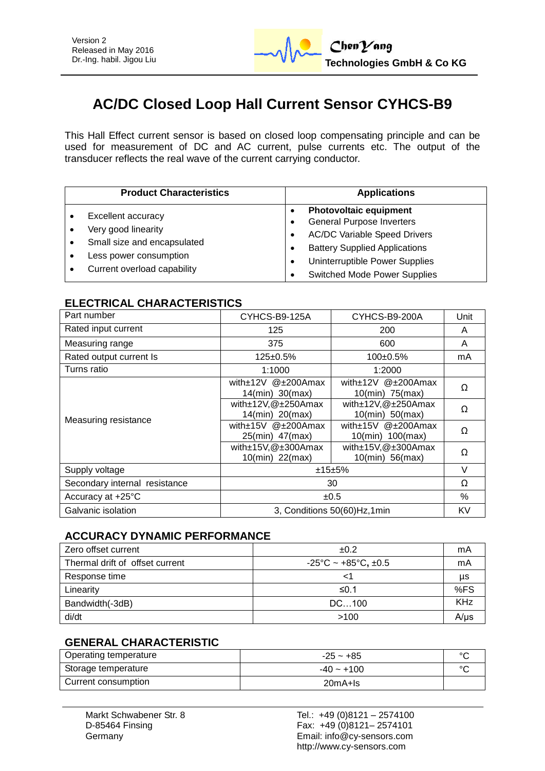# **AC/DC Closed Loop Hall Current Sensor CYHCS-B9**

This Hall Effect current sensor is based on closed loop compensating principle and can be used for measurement of DC and AC current, pulse currents etc. The output of the transducer reflects the real wave of the current carrying conductor.

| <b>Product Characteristics</b>                                                                                                    | <b>Applications</b>                                                                                                                                                                                                       |  |
|-----------------------------------------------------------------------------------------------------------------------------------|---------------------------------------------------------------------------------------------------------------------------------------------------------------------------------------------------------------------------|--|
| Excellent accuracy<br>Very good linearity<br>Small size and encapsulated<br>Less power consumption<br>Current overload capability | <b>Photovoltaic equipment</b><br><b>General Purpose Inverters</b><br><b>AC/DC Variable Speed Drivers</b><br><b>Battery Supplied Applications</b><br>Uninterruptible Power Supplies<br><b>Switched Mode Power Supplies</b> |  |

### **ELECTRICAL CHARACTERISTICS**

| Part number                   | CYHCS-B9-125A                                      | CYHCS-B9-200A                                        | Unit     |
|-------------------------------|----------------------------------------------------|------------------------------------------------------|----------|
| Rated input current           | 125                                                | 200                                                  | A        |
| Measuring range               | 375                                                | 600                                                  | A        |
| Rated output current Is       | $125 \pm 0.5\%$                                    | $100+0.5%$                                           | mA       |
| Turns ratio                   | 1:1000                                             | 1:2000                                               |          |
| Measuring resistance          | with±12V @±200Amax<br>14(min) 30(max)              | with $\pm$ 12V $@$ $\pm$ 200Amax<br>10(min) 75(max)  | Ω        |
|                               | with $\pm$ 12V, @ $\pm$ 250Amax<br>14(min) 20(max) | with±12V,@±250Amax<br>10(min) 50(max)                | $\Omega$ |
|                               | with±15V @±200Amax<br>25(min) 47(max)              | with $\pm$ 15V $@$ $\pm$ 200Amax<br>10(min) 100(max) | Ω        |
|                               | with $\pm$ 15V, @ $\pm$ 300Amax<br>10(min) 22(max) | with $\pm$ 15V, @ $\pm$ 300Amax<br>$10(min)$ 56(max) | Ω        |
| Supply voltage                | ±15±5%                                             |                                                      | $\vee$   |
| Secondary internal resistance | 30                                                 |                                                      | Ω        |
| Accuracy at +25°C             | ±0.5                                               |                                                      | %        |
| Galvanic isolation            | 3, Conditions 50(60)Hz,1min                        |                                                      | KV       |

#### **ACCURACY DYNAMIC PERFORMANCE**

| Zero offset current             | ±0.2                                          | mA        |
|---------------------------------|-----------------------------------------------|-----------|
| Thermal drift of offset current | $-25^{\circ}$ C ~ +85 $^{\circ}$ C, $\pm$ 0.5 | mA        |
| Response time                   |                                               | μs        |
| Linearity                       | ≤0.1                                          | %FS       |
| Bandwidth(-3dB)                 | DC100                                         | KHz       |
| di/dt                           | >100                                          | $A/\mu s$ |

#### **GENERAL CHARACTERISTIC**

| Operating temperature | $-25 - +85$  | $\circ$ |
|-----------------------|--------------|---------|
| Storage temperature   | $-40 - +100$ | $\circ$ |
| Current consumption   | $20mA + Is$  |         |